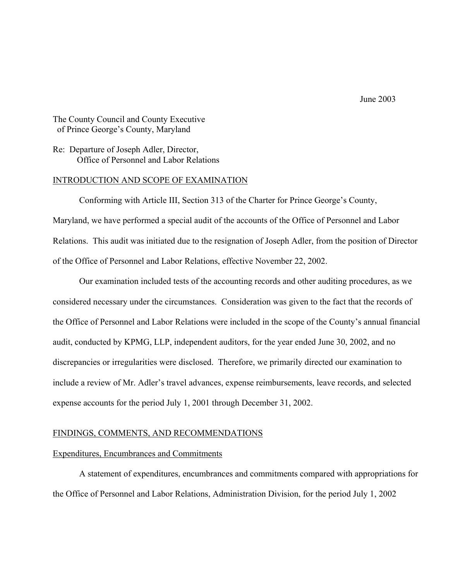June 2003

The County Council and County Executive of Prince George's County, Maryland

Re: Departure of Joseph Adler, Director, Office of Personnel and Labor Relations

#### INTRODUCTION AND SCOPE OF EXAMINATION

 Conforming with Article III, Section 313 of the Charter for Prince George's County, Maryland, we have performed a special audit of the accounts of the Office of Personnel and Labor Relations. This audit was initiated due to the resignation of Joseph Adler, from the position of Director of the Office of Personnel and Labor Relations, effective November 22, 2002.

 Our examination included tests of the accounting records and other auditing procedures, as we considered necessary under the circumstances. Consideration was given to the fact that the records of the Office of Personnel and Labor Relations were included in the scope of the County's annual financial audit, conducted by KPMG, LLP, independent auditors, for the year ended June 30, 2002, and no discrepancies or irregularities were disclosed. Therefore, we primarily directed our examination to include a review of Mr. Adler's travel advances, expense reimbursements, leave records, and selected expense accounts for the period July 1, 2001 through December 31, 2002.

#### FINDINGS, COMMENTS, AND RECOMMENDATIONS

#### Expenditures, Encumbrances and Commitments

 A statement of expenditures, encumbrances and commitments compared with appropriations for the Office of Personnel and Labor Relations, Administration Division, for the period July 1, 2002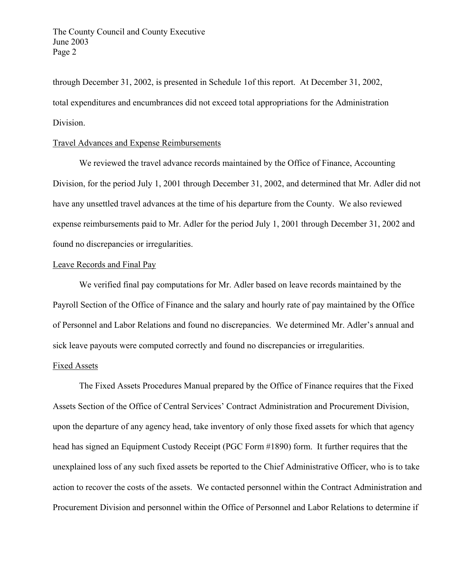through December 31, 2002, is presented in Schedule 1of this report. At December 31, 2002, total expenditures and encumbrances did not exceed total appropriations for the Administration Division.

## Travel Advances and Expense Reimbursements

 We reviewed the travel advance records maintained by the Office of Finance, Accounting Division, for the period July 1, 2001 through December 31, 2002, and determined that Mr. Adler did not have any unsettled travel advances at the time of his departure from the County. We also reviewed expense reimbursements paid to Mr. Adler for the period July 1, 2001 through December 31, 2002 and found no discrepancies or irregularities.

## Leave Records and Final Pay

 We verified final pay computations for Mr. Adler based on leave records maintained by the Payroll Section of the Office of Finance and the salary and hourly rate of pay maintained by the Office of Personnel and Labor Relations and found no discrepancies. We determined Mr. Adler's annual and sick leave payouts were computed correctly and found no discrepancies or irregularities.

#### Fixed Assets

 The Fixed Assets Procedures Manual prepared by the Office of Finance requires that the Fixed Assets Section of the Office of Central Services' Contract Administration and Procurement Division, upon the departure of any agency head, take inventory of only those fixed assets for which that agency head has signed an Equipment Custody Receipt (PGC Form #1890) form. It further requires that the unexplained loss of any such fixed assets be reported to the Chief Administrative Officer, who is to take action to recover the costs of the assets. We contacted personnel within the Contract Administration and Procurement Division and personnel within the Office of Personnel and Labor Relations to determine if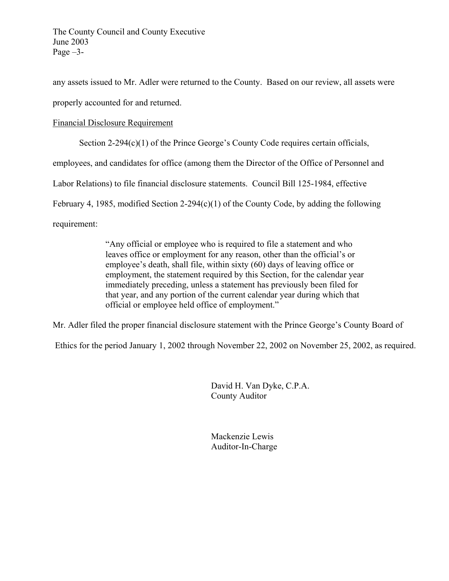any assets issued to Mr. Adler were returned to the County. Based on our review, all assets were properly accounted for and returned.

# Financial Disclosure Requirement

Section 2-294(c)(1) of the Prince George's County Code requires certain officials,

employees, and candidates for office (among them the Director of the Office of Personnel and

Labor Relations) to file financial disclosure statements. Council Bill 125-1984, effective

February 4, 1985, modified Section 2-294(c)(1) of the County Code, by adding the following

requirement:

 "Any official or employee who is required to file a statement and who leaves office or employment for any reason, other than the official's or employee's death, shall file, within sixty (60) days of leaving office or employment, the statement required by this Section, for the calendar year immediately preceding, unless a statement has previously been filed for that year, and any portion of the current calendar year during which that official or employee held office of employment."

Mr. Adler filed the proper financial disclosure statement with the Prince George's County Board of

Ethics for the period January 1, 2002 through November 22, 2002 on November 25, 2002, as required.

David H. Van Dyke, C.P.A. County Auditor

Mackenzie Lewis Auditor-In-Charge